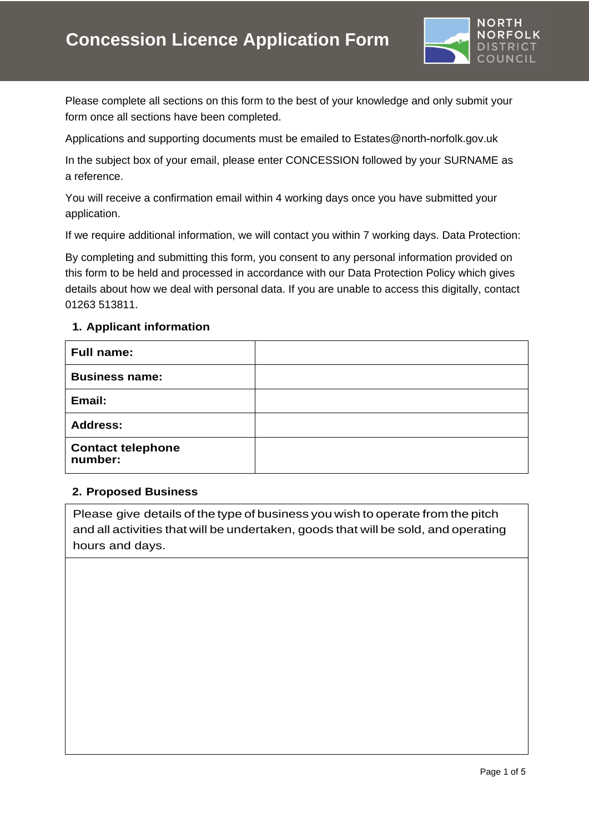

Please complete all sections on this form to the best of your knowledge and only submit your form once all sections have been completed.

Applications and supporting documents must be emailed to [Estates@north](mailto:Estates@northnorfolk.gov.uk)-norfolk.gov.uk

In the subject box of your email, please enter CONCESSION followed by your SURNAME as a reference.

You will receive a confirmation email within 4 working days once you have submitted your application.

If we require additional information, we will contact you within 7 working days. Data Protection:

By completing and submitting this form, you consent to any personal information provided on this form to be held and processed in accordance with our [Data Protection Policy](https://www.north-norfolk.gov.uk/tasks/transparency-%20data/view-data-protection-policy/) which gives details about how we deal with personal data. If you are unable to access this digitally, contact 01263 513811.

# **1. Applicant information**

| <b>Full name:</b>                   |  |
|-------------------------------------|--|
| <b>Business name:</b>               |  |
| Email:                              |  |
| <b>Address:</b>                     |  |
| <b>Contact telephone</b><br>number: |  |

#### **2. Proposed Business**

Please give details of the type of business you wish to operate from the pitch and all activities that will be undertaken, goods that will be sold, and operating hours and days.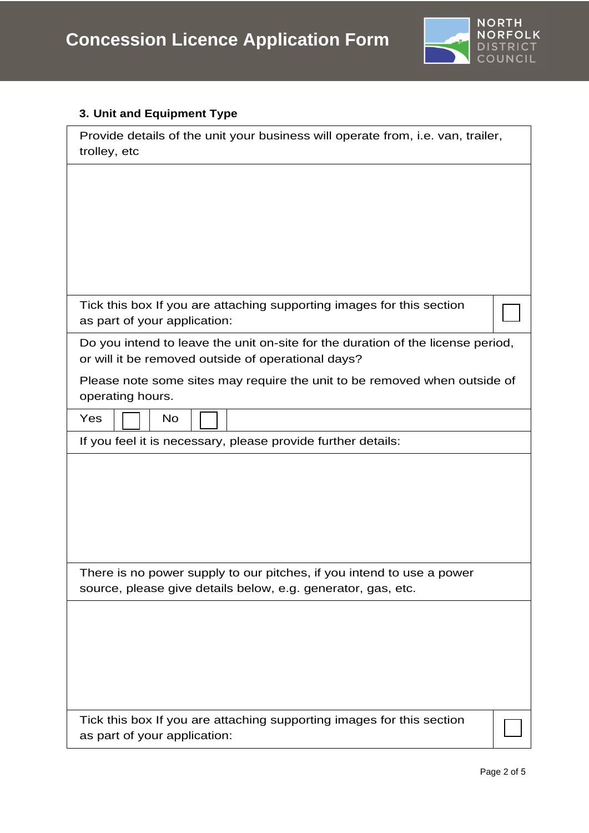

# **3. Unit and Equipment Type**

| Provide details of the unit your business will operate from, i.e. van, trailer,<br>trolley, etc                                       |  |  |
|---------------------------------------------------------------------------------------------------------------------------------------|--|--|
|                                                                                                                                       |  |  |
|                                                                                                                                       |  |  |
|                                                                                                                                       |  |  |
| Tick this box If you are attaching supporting images for this section<br>as part of your application:                                 |  |  |
| Do you intend to leave the unit on-site for the duration of the license period,<br>or will it be removed outside of operational days? |  |  |
| Please note some sites may require the unit to be removed when outside of<br>operating hours.                                         |  |  |
| Yes<br><b>No</b>                                                                                                                      |  |  |
| If you feel it is necessary, please provide further details:                                                                          |  |  |
|                                                                                                                                       |  |  |
|                                                                                                                                       |  |  |
|                                                                                                                                       |  |  |
| There is no power supply to our pitches, if you intend to use a power<br>source, please give details below, e.g. generator, gas, etc. |  |  |
|                                                                                                                                       |  |  |
|                                                                                                                                       |  |  |
|                                                                                                                                       |  |  |
| Tick this box If you are attaching supporting images for this section<br>as part of your application:                                 |  |  |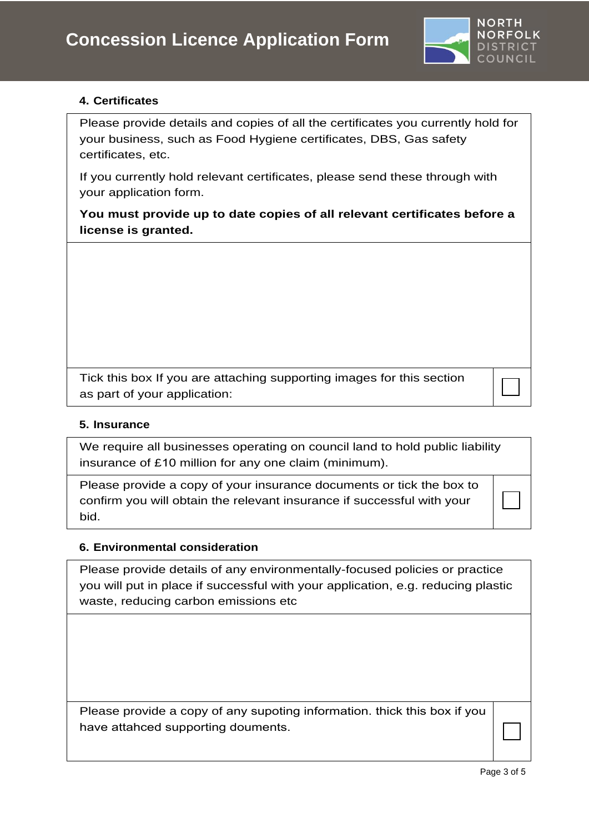

# **4. Certificates**

Please provide details and copies of all the certificates you currently hold for your business, such as Food Hygiene certificates, DBS, Gas safety certificates, etc.

If you currently hold relevant certificates, please send these through with your application form.

**You must provide up to date copies of all relevant certificates before a license is granted.**

Tick this box If you are attaching supporting images for this section as part of your application:

#### **5. Insurance**

We require all businesses operating on council land to hold public liability insurance of £10 million for any one claim (minimum).

Please provide a copy of your insurance documents or tick the box to confirm you will obtain the relevant insurance if successful with your bid.

#### **6. Environmental consideration**

Please provide details of any environmentally-focused policies or practice you will put in place if successful with your application, e.g. reducing plastic waste, reducing carbon emissions etc

Please provide a copy of any supoting information. thick this box if you have attahced supporting douments.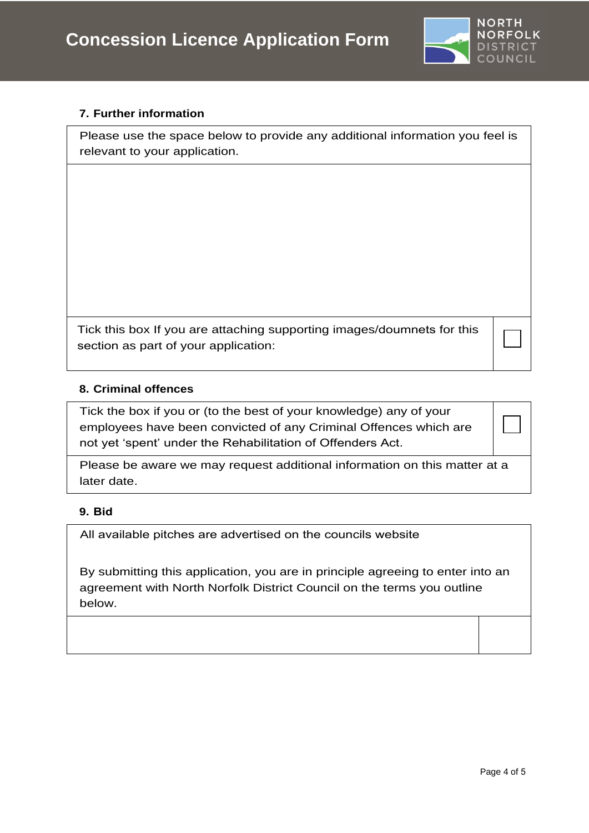

# **7. Further information**

Please use the space below to provide any additional information you feel is relevant to your application.

Tick this box If you are attaching supporting images/doumnets for this section as part of your application:

#### **8. Criminal offences**

Tick the box if you or (to the best of your knowledge) any of your employees have been convicted of any Criminal Offences which are not yet 'spent' under the Rehabilitation of Offenders Act.

Please be aware we may request additional information on this matter at a later date.

# **9. Bid**

All available pitches are advertised on the c[ouncils website](https://www.north-norfolk.gov.uk/concessions)

By submitting this application, you are in principle agreeing to enter into an agreement with North Norfolk District Council on the terms you outline below.